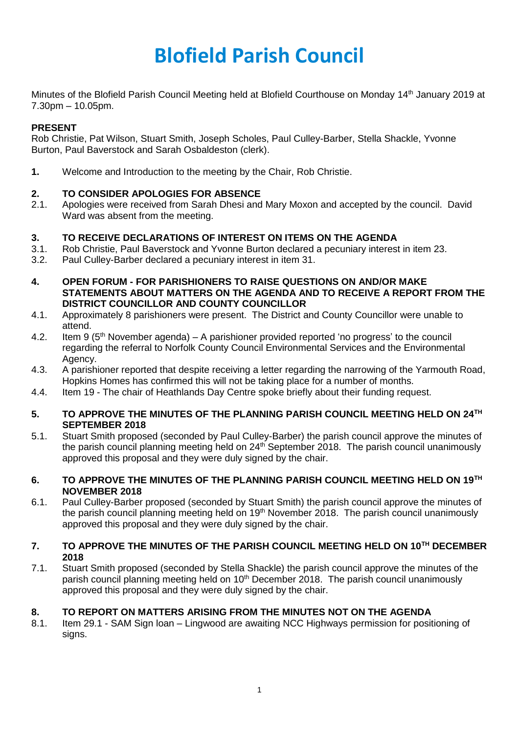# **Blofield Parish Council**

Minutes of the Blofield Parish Council Meeting held at Blofield Courthouse on Monday 14<sup>th</sup> January 2019 at 7.30pm – 10.05pm.

# **PRESENT**

Rob Christie, Pat Wilson, Stuart Smith, Joseph Scholes, Paul Culley-Barber, Stella Shackle, Yvonne Burton, Paul Baverstock and Sarah Osbaldeston (clerk).

**1.** Welcome and Introduction to the meeting by the Chair, Rob Christie.

## **2. TO CONSIDER APOLOGIES FOR ABSENCE**

2.1. Apologies were received from Sarah Dhesi and Mary Moxon and accepted by the council. David Ward was absent from the meeting.

## **3. TO RECEIVE DECLARATIONS OF INTEREST ON ITEMS ON THE AGENDA**

- 3.1. Rob Christie, Paul Baverstock and Yvonne Burton declared a pecuniary interest in item 23.
- 3.2. Paul Culley-Barber declared a pecuniary interest in item 31.
- **4. OPEN FORUM - FOR PARISHIONERS TO RAISE QUESTIONS ON AND/OR MAKE STATEMENTS ABOUT MATTERS ON THE AGENDA AND TO RECEIVE A REPORT FROM THE DISTRICT COUNCILLOR AND COUNTY COUNCILLOR**
- 4.1. Approximately 8 parishioners were present. The District and County Councillor were unable to attend.
- 4.2. Item 9  $(5<sup>th</sup>$  November agenda) A parishioner provided reported 'no progress' to the council regarding the referral to Norfolk County Council Environmental Services and the Environmental Agency.
- 4.3. A parishioner reported that despite receiving a letter regarding the narrowing of the Yarmouth Road, Hopkins Homes has confirmed this will not be taking place for a number of months.
- 4.4. Item 19 The chair of Heathlands Day Centre spoke briefly about their funding request.

#### **5. TO APPROVE THE MINUTES OF THE PLANNING PARISH COUNCIL MEETING HELD ON 24TH SEPTEMBER 2018**

5.1. Stuart Smith proposed (seconded by Paul Culley-Barber) the parish council approve the minutes of the parish council planning meeting held on 24<sup>th</sup> September 2018. The parish council unanimously approved this proposal and they were duly signed by the chair.

#### **6. TO APPROVE THE MINUTES OF THE PLANNING PARISH COUNCIL MEETING HELD ON 19TH NOVEMBER 2018**

6.1. Paul Culley-Barber proposed (seconded by Stuart Smith) the parish council approve the minutes of the parish council planning meeting held on 19<sup>th</sup> November 2018. The parish council unanimously approved this proposal and they were duly signed by the chair.

## **7. TO APPROVE THE MINUTES OF THE PARISH COUNCIL MEETING HELD ON 10TH DECEMBER 2018**

7.1. Stuart Smith proposed (seconded by Stella Shackle) the parish council approve the minutes of the parish council planning meeting held on 10<sup>th</sup> December 2018. The parish council unanimously approved this proposal and they were duly signed by the chair.

#### **8. TO REPORT ON MATTERS ARISING FROM THE MINUTES NOT ON THE AGENDA**

8.1. Item 29.1 - SAM Sign loan – Lingwood are awaiting NCC Highways permission for positioning of signs.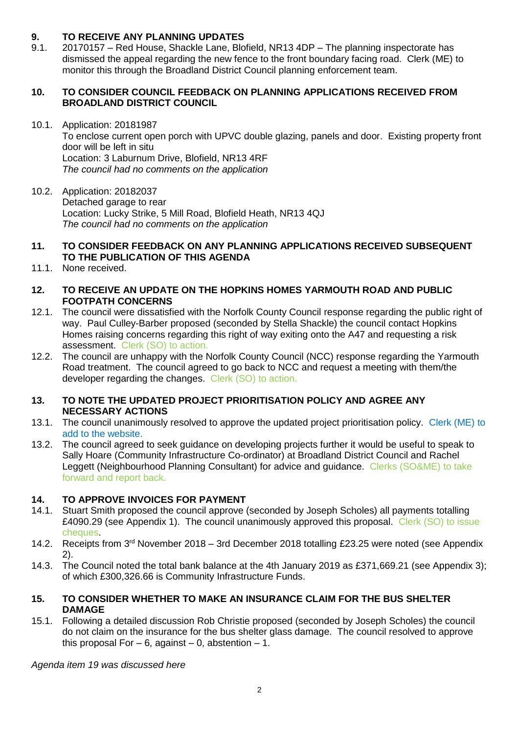# **9. TO RECEIVE ANY PLANNING UPDATES**

9.1. 20170157 – Red House, Shackle Lane, Blofield, NR13 4DP – The planning inspectorate has dismissed the appeal regarding the new fence to the front boundary facing road. Clerk (ME) to monitor this through the Broadland District Council planning enforcement team.

#### **10. TO CONSIDER COUNCIL FEEDBACK ON PLANNING APPLICATIONS RECEIVED FROM BROADLAND DISTRICT COUNCIL**

- 10.1. Application: 20181987 To enclose current open porch with UPVC double glazing, panels and door. Existing property front door will be left in situ Location: 3 Laburnum Drive, Blofield, NR13 4RF *The council had no comments on the application*
- 10.2. Application: 20182037 Detached garage to rear Location: Lucky Strike, 5 Mill Road, Blofield Heath, NR13 4QJ *The council had no comments on the application*
- **11. TO CONSIDER FEEDBACK ON ANY PLANNING APPLICATIONS RECEIVED SUBSEQUENT TO THE PUBLICATION OF THIS AGENDA**
- 11.1. None received.

#### **12. TO RECEIVE AN UPDATE ON THE HOPKINS HOMES YARMOUTH ROAD AND PUBLIC FOOTPATH CONCERNS**

- 12.1. The council were dissatisfied with the Norfolk County Council response regarding the public right of way. Paul Culley-Barber proposed (seconded by Stella Shackle) the council contact Hopkins Homes raising concerns regarding this right of way exiting onto the A47 and requesting a risk assessment. Clerk (SO) to action.
- 12.2. The council are unhappy with the Norfolk County Council (NCC) response regarding the Yarmouth Road treatment. The council agreed to go back to NCC and request a meeting with them/the developer regarding the changes. Clerk (SO) to action.

#### **13. TO NOTE THE UPDATED PROJECT PRIORITISATION POLICY AND AGREE ANY NECESSARY ACTIONS**

- 13.1. The council unanimously resolved to approve the updated project prioritisation policy. Clerk (ME) to add to the website.
- 13.2. The council agreed to seek guidance on developing projects further it would be useful to speak to Sally Hoare (Community Infrastructure Co-ordinator) at Broadland District Council and Rachel Leggett (Neighbourhood Planning Consultant) for advice and guidance. Clerks (SO&ME) to take forward and report back.

# **14. TO APPROVE INVOICES FOR PAYMENT**

- 14.1. Stuart Smith proposed the council approve (seconded by Joseph Scholes) all payments totalling £4090.29 (see Appendix 1). The council unanimously approved this proposal. Clerk (SO) to issue cheques.
- 14.2. Receipts from 3<sup>rd</sup> November 2018 3rd December 2018 totalling £23.25 were noted (see Appendix 2).
- 14.3. The Council noted the total bank balance at the 4th January 2019 as £371,669.21 (see Appendix 3); of which £300,326.66 is Community Infrastructure Funds.

#### **15. TO CONSIDER WHETHER TO MAKE AN INSURANCE CLAIM FOR THE BUS SHELTER DAMAGE**

15.1. Following a detailed discussion Rob Christie proposed (seconded by Joseph Scholes) the council do not claim on the insurance for the bus shelter glass damage. The council resolved to approve this proposal For  $-6$ , against  $-0$ , abstention  $-1$ .

*Agenda item 19 was discussed here*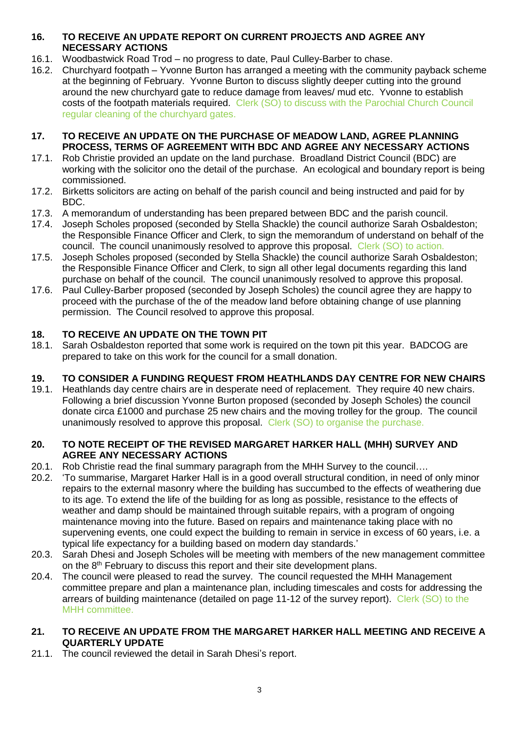# **16. TO RECEIVE AN UPDATE REPORT ON CURRENT PROJECTS AND AGREE ANY NECESSARY ACTIONS**

- 16.1. Woodbastwick Road Trod no progress to date, Paul Culley-Barber to chase.
- 16.2. Churchyard footpath Yvonne Burton has arranged a meeting with the community payback scheme at the beginning of February. Yvonne Burton to discuss slightly deeper cutting into the ground around the new churchyard gate to reduce damage from leaves/ mud etc. Yvonne to establish costs of the footpath materials required. Clerk (SO) to discuss with the Parochial Church Council regular cleaning of the churchyard gates.

#### **17. TO RECEIVE AN UPDATE ON THE PURCHASE OF MEADOW LAND, AGREE PLANNING PROCESS, TERMS OF AGREEMENT WITH BDC AND AGREE ANY NECESSARY ACTIONS**

- 17.1. Rob Christie provided an update on the land purchase. Broadland District Council (BDC) are working with the solicitor ono the detail of the purchase. An ecological and boundary report is being commissioned.
- 17.2. Birketts solicitors are acting on behalf of the parish council and being instructed and paid for by BDC.
- 17.3. A memorandum of understanding has been prepared between BDC and the parish council.
- 17.4. Joseph Scholes proposed (seconded by Stella Shackle) the council authorize Sarah Osbaldeston; the Responsible Finance Officer and Clerk, to sign the memorandum of understand on behalf of the council. The council unanimously resolved to approve this proposal. Clerk (SO) to action.
- 17.5. Joseph Scholes proposed (seconded by Stella Shackle) the council authorize Sarah Osbaldeston; the Responsible Finance Officer and Clerk, to sign all other legal documents regarding this land purchase on behalf of the council. The council unanimously resolved to approve this proposal.
- 17.6. Paul Culley-Barber proposed (seconded by Joseph Scholes) the council agree they are happy to proceed with the purchase of the of the meadow land before obtaining change of use planning permission. The Council resolved to approve this proposal.

# **18. TO RECEIVE AN UPDATE ON THE TOWN PIT**

18.1. Sarah Osbaldeston reported that some work is required on the town pit this year. BADCOG are prepared to take on this work for the council for a small donation.

# **19. TO CONSIDER A FUNDING REQUEST FROM HEATHLANDS DAY CENTRE FOR NEW CHAIRS**

19.1. Heathlands day centre chairs are in desperate need of replacement. They require 40 new chairs. Following a brief discussion Yvonne Burton proposed (seconded by Joseph Scholes) the council donate circa £1000 and purchase 25 new chairs and the moving trolley for the group. The council unanimously resolved to approve this proposal. Clerk (SO) to organise the purchase.

#### **20. TO NOTE RECEIPT OF THE REVISED MARGARET HARKER HALL (MHH) SURVEY AND AGREE ANY NECESSARY ACTIONS**

- 20.1. Rob Christie read the final summary paragraph from the MHH Survey to the council….
- 20.2. 'To summarise, Margaret Harker Hall is in a good overall structural condition, in need of only minor repairs to the external masonry where the building has succumbed to the effects of weathering due to its age. To extend the life of the building for as long as possible, resistance to the effects of weather and damp should be maintained through suitable repairs, with a program of ongoing maintenance moving into the future. Based on repairs and maintenance taking place with no supervening events, one could expect the building to remain in service in excess of 60 years, i.e. a typical life expectancy for a building based on modern day standards.'
- 20.3. Sarah Dhesi and Joseph Scholes will be meeting with members of the new management committee on the 8<sup>th</sup> February to discuss this report and their site development plans.
- 20.4. The council were pleased to read the survey. The council requested the MHH Management committee prepare and plan a maintenance plan, including timescales and costs for addressing the arrears of building maintenance (detailed on page 11-12 of the survey report). Clerk (SO) to the MHH committee.

#### **21. TO RECEIVE AN UPDATE FROM THE MARGARET HARKER HALL MEETING AND RECEIVE A QUARTERLY UPDATE**

21.1. The council reviewed the detail in Sarah Dhesi's report.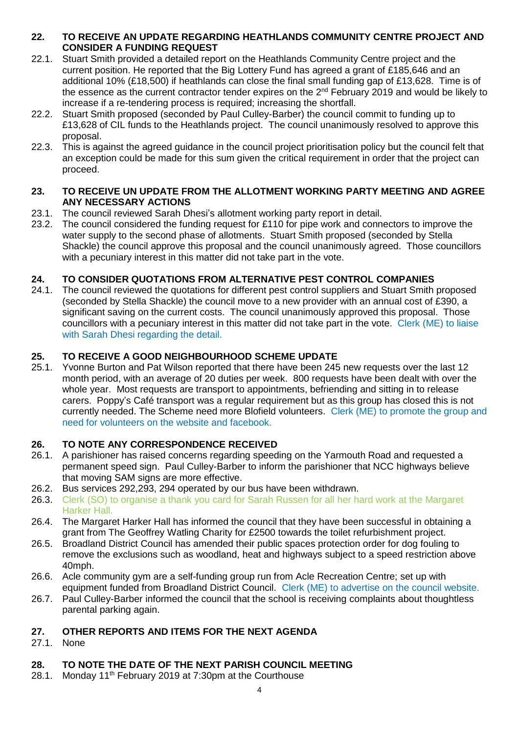## **22. TO RECEIVE AN UPDATE REGARDING HEATHLANDS COMMUNITY CENTRE PROJECT AND CONSIDER A FUNDING REQUEST**

- 22.1. Stuart Smith provided a detailed report on the Heathlands Community Centre project and the current position. He reported that the Big Lottery Fund has agreed a grant of £185,646 and an additional 10% (£18,500) if heathlands can close the final small funding gap of £13,628. Time is of the essence as the current contractor tender expires on the  $2<sup>nd</sup>$  February 2019 and would be likely to increase if a re-tendering process is required; increasing the shortfall.
- 22.2. Stuart Smith proposed (seconded by Paul Culley-Barber) the council commit to funding up to £13,628 of CIL funds to the Heathlands project. The council unanimously resolved to approve this proposal.
- 22.3. This is against the agreed guidance in the council project prioritisation policy but the council felt that an exception could be made for this sum given the critical requirement in order that the project can proceed.

# **23. TO RECEIVE UN UPDATE FROM THE ALLOTMENT WORKING PARTY MEETING AND AGREE ANY NECESSARY ACTIONS**

- 23.1. The council reviewed Sarah Dhesi's allotment working party report in detail.
- 23.2. The council considered the funding request for £110 for pipe work and connectors to improve the water supply to the second phase of allotments. Stuart Smith proposed (seconded by Stella Shackle) the council approve this proposal and the council unanimously agreed. Those councillors with a pecuniary interest in this matter did not take part in the vote.

# **24. TO CONSIDER QUOTATIONS FROM ALTERNATIVE PEST CONTROL COMPANIES**

24.1. The council reviewed the quotations for different pest control suppliers and Stuart Smith proposed (seconded by Stella Shackle) the council move to a new provider with an annual cost of £390, a significant saving on the current costs. The council unanimously approved this proposal. Those councillors with a pecuniary interest in this matter did not take part in the vote. Clerk (ME) to liaise with Sarah Dhesi regarding the detail.

# **25. TO RECEIVE A GOOD NEIGHBOURHOOD SCHEME UPDATE**

25.1. Yvonne Burton and Pat Wilson reported that there have been 245 new requests over the last 12 month period, with an average of 20 duties per week. 800 requests have been dealt with over the whole year. Most requests are transport to appointments, befriending and sitting in to release carers. Poppy's Café transport was a regular requirement but as this group has closed this is not currently needed. The Scheme need more Blofield volunteers. Clerk (ME) to promote the group and need for volunteers on the website and facebook.

# **26. TO NOTE ANY CORRESPONDENCE RECEIVED**

- 26.1. A parishioner has raised concerns regarding speeding on the Yarmouth Road and requested a permanent speed sign. Paul Culley-Barber to inform the parishioner that NCC highways believe that moving SAM signs are more effective.
- 26.2. Bus services 292,293, 294 operated by our bus have been withdrawn.
- 26.3. Clerk (SO) to organise a thank you card for Sarah Russen for all her hard work at the Margaret Harker Hall.
- 26.4. The Margaret Harker Hall has informed the council that they have been successful in obtaining a grant from The Geoffrey Watling Charity for £2500 towards the toilet refurbishment project.
- 26.5. Broadland District Council has amended their public spaces protection order for dog fouling to remove the exclusions such as woodland, heat and highways subject to a speed restriction above 40mph.
- 26.6. Acle community gym are a self-funding group run from Acle Recreation Centre; set up with equipment funded from Broadland District Council. Clerk (ME) to advertise on the council website.
- 26.7. Paul Culley-Barber informed the council that the school is receiving complaints about thoughtless parental parking again.

# **27. OTHER REPORTS AND ITEMS FOR THE NEXT AGENDA**

27.1. None

# **28. TO NOTE THE DATE OF THE NEXT PARISH COUNCIL MEETING**

28.1. Monday  $11^{th}$  February 2019 at 7:30pm at the Courthouse